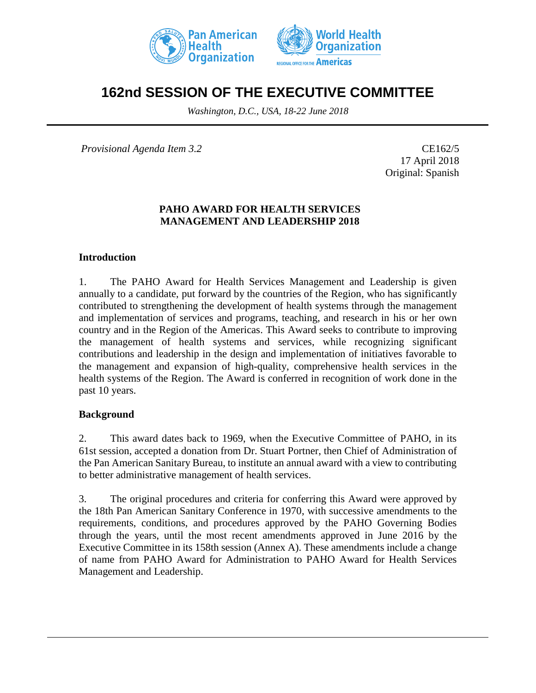



# **162nd SESSION OF THE EXECUTIVE COMMITTEE**

*Washington, D.C., USA, 18-22 June 2018*

*Provisional Agenda Item 3.2* CE162/5

17 April 2018 Original: Spanish

#### **PAHO AWARD FOR HEALTH SERVICES MANAGEMENT AND LEADERSHIP 2018**

#### **Introduction**

1. The PAHO Award for Health Services Management and Leadership is given annually to a candidate, put forward by the countries of the Region, who has significantly contributed to strengthening the development of health systems through the management and implementation of services and programs, teaching, and research in his or her own country and in the Region of the Americas. This Award seeks to contribute to improving the management of health systems and services, while recognizing significant contributions and leadership in the design and implementation of initiatives favorable to the management and expansion of high-quality, comprehensive health services in the health systems of the Region. The Award is conferred in recognition of work done in the past 10 years.

#### **Background**

2. This award dates back to 1969, when the Executive Committee of PAHO, in its 61st session, accepted a donation from Dr. Stuart Portner, then Chief of Administration of the Pan American Sanitary Bureau, to institute an annual award with a view to contributing to better administrative management of health services.

3. The original procedures and criteria for conferring this Award were approved by the 18th Pan American Sanitary Conference in 1970, with successive amendments to the requirements, conditions, and procedures approved by the PAHO Governing Bodies through the years, until the most recent amendments approved in June 2016 by the Executive Committee in its 158th session (Annex A). These amendments include a change of name from PAHO Award for Administration to PAHO Award for Health Services Management and Leadership.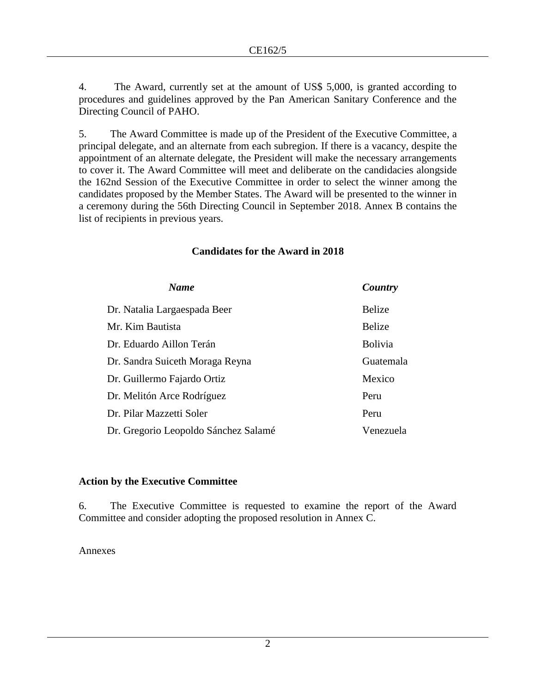4. The Award, currently set at the amount of US\$ 5,000, is granted according to procedures and guidelines approved by the Pan American Sanitary Conference and the Directing Council of PAHO.

5. The Award Committee is made up of the President of the Executive Committee, a principal delegate, and an alternate from each subregion. If there is a vacancy, despite the appointment of an alternate delegate, the President will make the necessary arrangements to cover it. The Award Committee will meet and deliberate on the candidacies alongside the 162nd Session of the Executive Committee in order to select the winner among the candidates proposed by the Member States. The Award will be presented to the winner in a ceremony during the 56th Directing Council in September 2018. Annex B contains the list of recipients in previous years.

| <b>Name</b>                          | Country        |
|--------------------------------------|----------------|
| Dr. Natalia Largaespada Beer         | Belize         |
| Mr. Kim Bautista                     | Belize         |
| Dr. Eduardo Aillon Terán             | <b>Bolivia</b> |
| Dr. Sandra Suiceth Moraga Reyna      | Guatemala      |
| Dr. Guillermo Fajardo Ortiz          | Mexico         |
| Dr. Melitón Arce Rodríguez           | Peru           |
| Dr. Pilar Mazzetti Soler             | Peru           |
| Dr. Gregorio Leopoldo Sánchez Salamé | Venezuela      |

# **Candidates for the Award in 2018**

#### **Action by the Executive Committee**

6. The Executive Committee is requested to examine the report of the Award Committee and consider adopting the proposed resolution in Annex C.

#### Annexes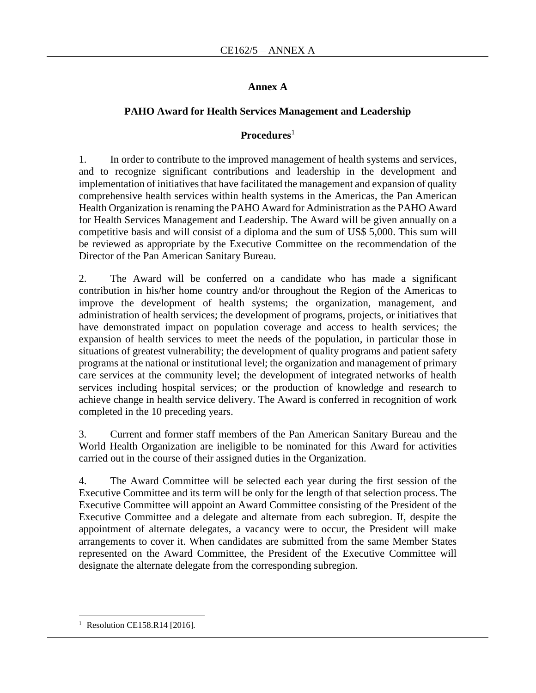### **Annex A**

# **PAHO Award for Health Services Management and Leadership**

# **Procedures**<sup>1</sup>

1. In order to contribute to the improved management of health systems and services, and to recognize significant contributions and leadership in the development and implementation of initiatives that have facilitated the management and expansion of quality comprehensive health services within health systems in the Americas, the Pan American Health Organization is renaming the PAHO Award for Administration as the PAHO Award for Health Services Management and Leadership. The Award will be given annually on a competitive basis and will consist of a diploma and the sum of US\$ 5,000. This sum will be reviewed as appropriate by the Executive Committee on the recommendation of the Director of the Pan American Sanitary Bureau.

2. The Award will be conferred on a candidate who has made a significant contribution in his/her home country and/or throughout the Region of the Americas to improve the development of health systems; the organization, management, and administration of health services; the development of programs, projects, or initiatives that have demonstrated impact on population coverage and access to health services; the expansion of health services to meet the needs of the population, in particular those in situations of greatest vulnerability; the development of quality programs and patient safety programs at the national or institutional level; the organization and management of primary care services at the community level; the development of integrated networks of health services including hospital services; or the production of knowledge and research to achieve change in health service delivery. The Award is conferred in recognition of work completed in the 10 preceding years.

3. Current and former staff members of the Pan American Sanitary Bureau and the World Health Organization are ineligible to be nominated for this Award for activities carried out in the course of their assigned duties in the Organization.

4. The Award Committee will be selected each year during the first session of the Executive Committee and its term will be only for the length of that selection process. The Executive Committee will appoint an Award Committee consisting of the President of the Executive Committee and a delegate and alternate from each subregion. If, despite the appointment of alternate delegates, a vacancy were to occur, the President will make arrangements to cover it. When candidates are submitted from the same Member States represented on the Award Committee, the President of the Executive Committee will designate the alternate delegate from the corresponding subregion.

 $\overline{a}$ 

<sup>&</sup>lt;sup>1</sup> Resolution CE158.R14 [2016].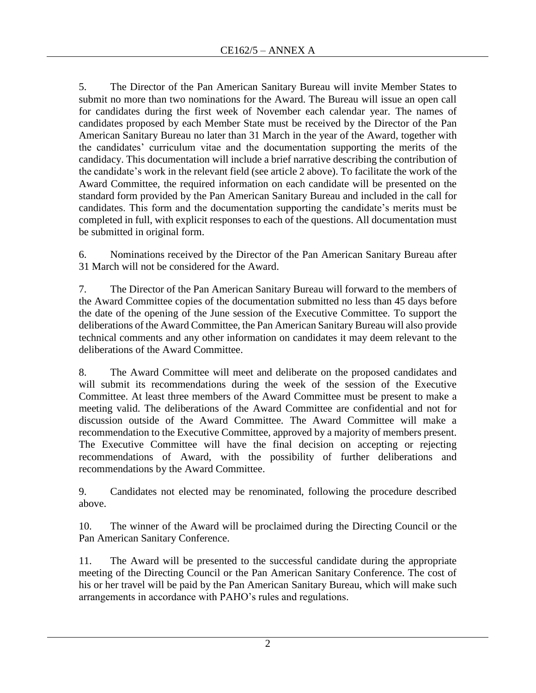5. The Director of the Pan American Sanitary Bureau will invite Member States to submit no more than two nominations for the Award. The Bureau will issue an open call for candidates during the first week of November each calendar year. The names of candidates proposed by each Member State must be received by the Director of the Pan American Sanitary Bureau no later than 31 March in the year of the Award, together with the candidates' curriculum vitae and the documentation supporting the merits of the candidacy. This documentation will include a brief narrative describing the contribution of the candidate's work in the relevant field (see article 2 above). To facilitate the work of the Award Committee, the required information on each candidate will be presented on the standard form provided by the Pan American Sanitary Bureau and included in the call for candidates. This form and the documentation supporting the candidate's merits must be completed in full, with explicit responses to each of the questions. All documentation must be submitted in original form.

6. Nominations received by the Director of the Pan American Sanitary Bureau after 31 March will not be considered for the Award.

7. The Director of the Pan American Sanitary Bureau will forward to the members of the Award Committee copies of the documentation submitted no less than 45 days before the date of the opening of the June session of the Executive Committee. To support the deliberations of the Award Committee, the Pan American Sanitary Bureau will also provide technical comments and any other information on candidates it may deem relevant to the deliberations of the Award Committee.

8. The Award Committee will meet and deliberate on the proposed candidates and will submit its recommendations during the week of the session of the Executive Committee. At least three members of the Award Committee must be present to make a meeting valid. The deliberations of the Award Committee are confidential and not for discussion outside of the Award Committee. The Award Committee will make a recommendation to the Executive Committee, approved by a majority of members present. The Executive Committee will have the final decision on accepting or rejecting recommendations of Award, with the possibility of further deliberations and recommendations by the Award Committee.

9. Candidates not elected may be renominated, following the procedure described above.

10. The winner of the Award will be proclaimed during the Directing Council or the Pan American Sanitary Conference.

11. The Award will be presented to the successful candidate during the appropriate meeting of the Directing Council or the Pan American Sanitary Conference. The cost of his or her travel will be paid by the Pan American Sanitary Bureau, which will make such arrangements in accordance with PAHO's rules and regulations.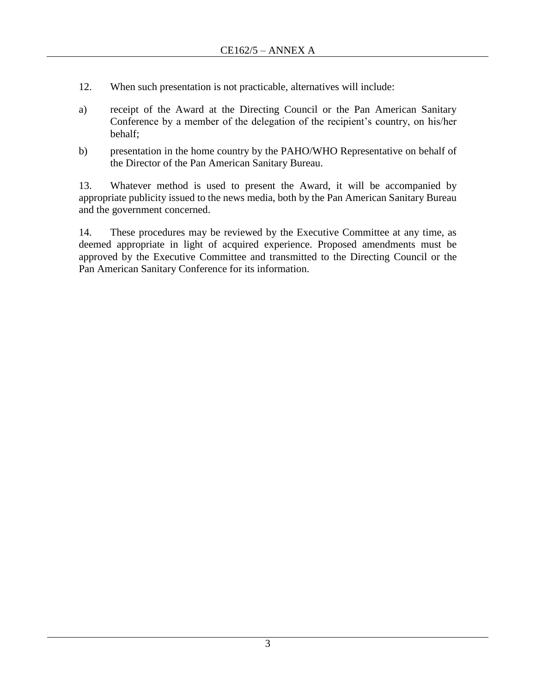- 12. When such presentation is not practicable, alternatives will include:
- a) receipt of the Award at the Directing Council or the Pan American Sanitary Conference by a member of the delegation of the recipient's country, on his/her behalf;
- b) presentation in the home country by the PAHO/WHO Representative on behalf of the Director of the Pan American Sanitary Bureau.

13. Whatever method is used to present the Award, it will be accompanied by appropriate publicity issued to the news media, both by the Pan American Sanitary Bureau and the government concerned.

14. These procedures may be reviewed by the Executive Committee at any time, as deemed appropriate in light of acquired experience. Proposed amendments must be approved by the Executive Committee and transmitted to the Directing Council or the Pan American Sanitary Conference for its information.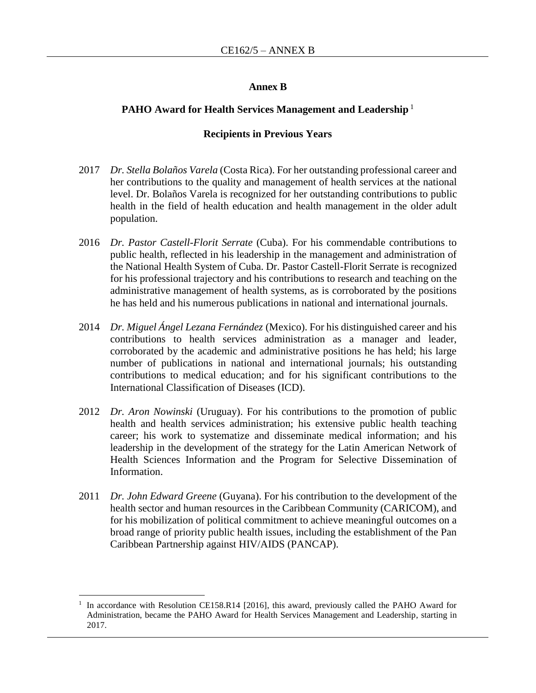#### **Annex B**

#### **PAHO Award for Health Services Management and Leadership**<sup>1</sup>

#### **Recipients in Previous Years**

- 2017 *Dr. Stella Bolaños Varela* (Costa Rica). For her outstanding professional career and her contributions to the quality and management of health services at the national level. Dr. Bolaños Varela is recognized for her outstanding contributions to public health in the field of health education and health management in the older adult population.
- 2016 *Dr. Pastor Castell-Florit Serrate* (Cuba). For his commendable contributions to public health, reflected in his leadership in the management and administration of the National Health System of Cuba. Dr. Pastor Castell-Florit Serrate is recognized for his professional trajectory and his contributions to research and teaching on the administrative management of health systems, as is corroborated by the positions he has held and his numerous publications in national and international journals.
- 2014 *Dr. Miguel Ángel Lezana Fernández* (Mexico). For his distinguished career and his contributions to health services administration as a manager and leader, corroborated by the academic and administrative positions he has held; his large number of publications in national and international journals; his outstanding contributions to medical education; and for his significant contributions to the International Classification of Diseases (ICD).
- 2012 *Dr. Aron Nowinski* (Uruguay). For his contributions to the promotion of public health and health services administration; his extensive public health teaching career; his work to systematize and disseminate medical information; and his leadership in the development of the strategy for the Latin American Network of Health Sciences Information and the Program for Selective Dissemination of Information.
- 2011 *Dr. John Edward Greene* (Guyana). For his contribution to the development of the health sector and human resources in the Caribbean Community (CARICOM), and for his mobilization of political commitment to achieve meaningful outcomes on a broad range of priority public health issues, including the establishment of the Pan Caribbean Partnership against HIV/AIDS (PANCAP).

 $\overline{a}$ 

<sup>1</sup> In accordance with Resolution CE158.R14 [2016], this award, previously called the PAHO Award for Administration, became the PAHO Award for Health Services Management and Leadership, starting in 2017.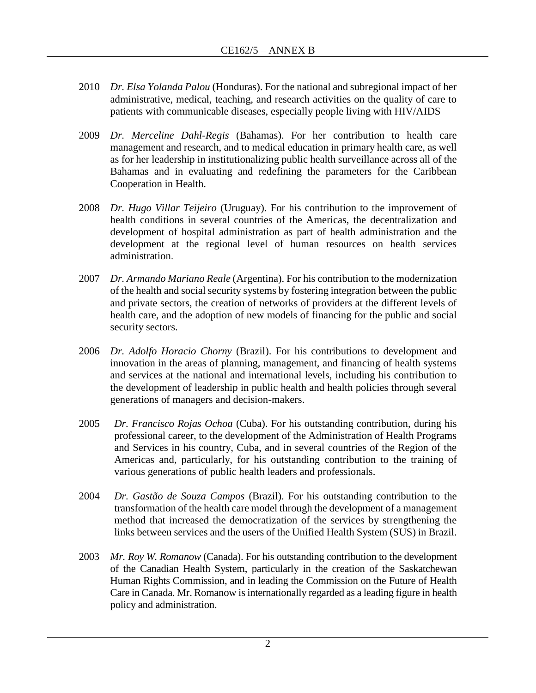- 2010 *Dr. Elsa Yolanda Palou* (Honduras). For the national and subregional impact of her administrative, medical, teaching, and research activities on the quality of care to patients with communicable diseases, especially people living with HIV/AIDS
- 2009 *Dr. Merceline Dahl-Regis* (Bahamas). For her contribution to health care management and research, and to medical education in primary health care, as well as for her leadership in institutionalizing public health surveillance across all of the Bahamas and in evaluating and redefining the parameters for the Caribbean Cooperation in Health.
- 2008 *Dr. Hugo Villar Teijeiro* (Uruguay). For his contribution to the improvement of health conditions in several countries of the Americas, the decentralization and development of hospital administration as part of health administration and the development at the regional level of human resources on health services administration.
- 2007 *Dr. Armando Mariano Reale* (Argentina). For his contribution to the modernization of the health and social security systems by fostering integration between the public and private sectors, the creation of networks of providers at the different levels of health care, and the adoption of new models of financing for the public and social security sectors.
- 2006 *Dr. Adolfo Horacio Chorny* (Brazil). For his contributions to development and innovation in the areas of planning, management, and financing of health systems and services at the national and international levels, including his contribution to the development of leadership in public health and health policies through several generations of managers and decision-makers.
- 2005 *Dr. Francisco Rojas Ochoa* (Cuba). For his outstanding contribution, during his professional career, to the development of the Administration of Health Programs and Services in his country, Cuba, and in several countries of the Region of the Americas and, particularly, for his outstanding contribution to the training of various generations of public health leaders and professionals.
- 2004 *Dr. Gastão de Souza Campos* (Brazil). For his outstanding contribution to the transformation of the health care model through the development of a management method that increased the democratization of the services by strengthening the links between services and the users of the Unified Health System (SUS) in Brazil.
- 2003 *Mr. Roy W. Romanow* (Canada). For his outstanding contribution to the development of the Canadian Health System, particularly in the creation of the Saskatchewan Human Rights Commission, and in leading the Commission on the Future of Health Care in Canada. Mr. Romanow is internationally regarded as a leading figure in health policy and administration.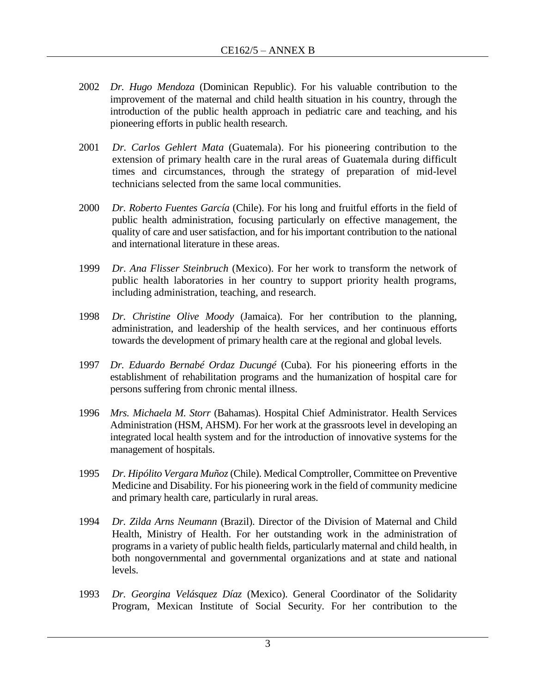- 2002 *Dr. Hugo Mendoza* (Dominican Republic). For his valuable contribution to the improvement of the maternal and child health situation in his country, through the introduction of the public health approach in pediatric care and teaching, and his pioneering efforts in public health research.
- 2001 *Dr. Carlos Gehlert Mata* (Guatemala). For his pioneering contribution to the extension of primary health care in the rural areas of Guatemala during difficult times and circumstances, through the strategy of preparation of mid-level technicians selected from the same local communities.
- 2000 *Dr. Roberto Fuentes García* (Chile). For his long and fruitful efforts in the field of public health administration, focusing particularly on effective management, the quality of care and user satisfaction, and for his important contribution to the national and international literature in these areas.
- 1999 *Dr. Ana Flisser Steinbruch* (Mexico). For her work to transform the network of public health laboratories in her country to support priority health programs, including administration, teaching, and research.
- 1998 *Dr. Christine Olive Moody* (Jamaica). For her contribution to the planning, administration, and leadership of the health services, and her continuous efforts towards the development of primary health care at the regional and global levels.
- 1997 *Dr. Eduardo Bernabé Ordaz Ducungé* (Cuba). For his pioneering efforts in the establishment of rehabilitation programs and the humanization of hospital care for persons suffering from chronic mental illness.
- 1996 *Mrs. Michaela M. Storr* (Bahamas). Hospital Chief Administrator. Health Services Administration (HSM, AHSM). For her work at the grassroots level in developing an integrated local health system and for the introduction of innovative systems for the management of hospitals.
- 1995 *Dr. Hipólito Vergara Muñoz* (Chile). Medical Comptroller, Committee on Preventive Medicine and Disability. For his pioneering work in the field of community medicine and primary health care, particularly in rural areas.
- 1994 *Dr. Zilda Arns Neumann* (Brazil). Director of the Division of Maternal and Child Health, Ministry of Health. For her outstanding work in the administration of programs in a variety of public health fields, particularly maternal and child health, in both nongovernmental and governmental organizations and at state and national levels.
- 1993 *Dr. Georgina Velásquez Díaz* (Mexico). General Coordinator of the Solidarity Program, Mexican Institute of Social Security. For her contribution to the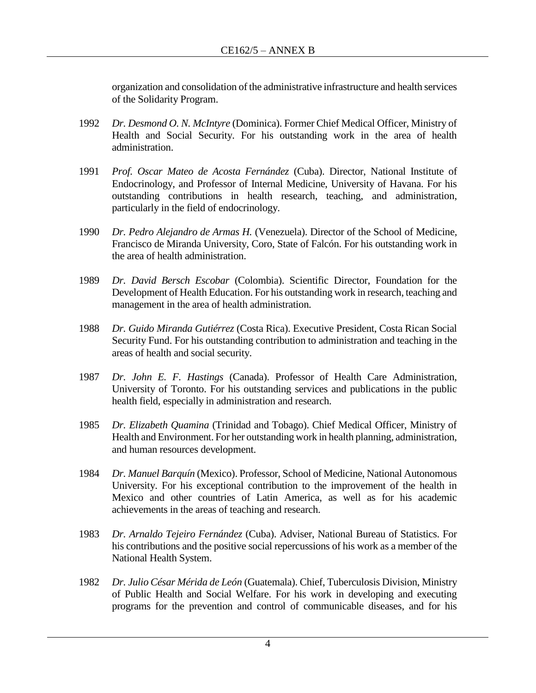organization and consolidation of the administrative infrastructure and health services of the Solidarity Program.

- 1992 *Dr. Desmond O. N. McIntyre* (Dominica). Former Chief Medical Officer, Ministry of Health and Social Security. For his outstanding work in the area of health administration.
- 1991 *Prof. Oscar Mateo de Acosta Fernández* (Cuba). Director, National Institute of Endocrinology, and Professor of Internal Medicine, University of Havana. For his outstanding contributions in health research, teaching, and administration, particularly in the field of endocrinology.
- 1990 *Dr. Pedro Alejandro de Armas H.* (Venezuela). Director of the School of Medicine, Francisco de Miranda University, Coro, State of Falcón. For his outstanding work in the area of health administration.
- 1989 *Dr. David Bersch Escobar* (Colombia). Scientific Director, Foundation for the Development of Health Education. For his outstanding work in research, teaching and management in the area of health administration.
- 1988 *Dr. Guido Miranda Gutiérrez* (Costa Rica). Executive President, Costa Rican Social Security Fund. For his outstanding contribution to administration and teaching in the areas of health and social security.
- 1987 *Dr. John E. F. Hastings* (Canada). Professor of Health Care Administration, University of Toronto. For his outstanding services and publications in the public health field, especially in administration and research.
- 1985 *Dr. Elizabeth Quamina* (Trinidad and Tobago). Chief Medical Officer, Ministry of Health and Environment. For her outstanding work in health planning, administration, and human resources development.
- 1984 *Dr. Manuel Barquín* (Mexico). Professor, School of Medicine, National Autonomous University. For his exceptional contribution to the improvement of the health in Mexico and other countries of Latin America, as well as for his academic achievements in the areas of teaching and research.
- 1983 *Dr. Arnaldo Tejeiro Fernández* (Cuba). Adviser, National Bureau of Statistics. For his contributions and the positive social repercussions of his work as a member of the National Health System.
- 1982 *Dr. Julio César Mérida de León* (Guatemala). Chief, Tuberculosis Division, Ministry of Public Health and Social Welfare. For his work in developing and executing programs for the prevention and control of communicable diseases, and for his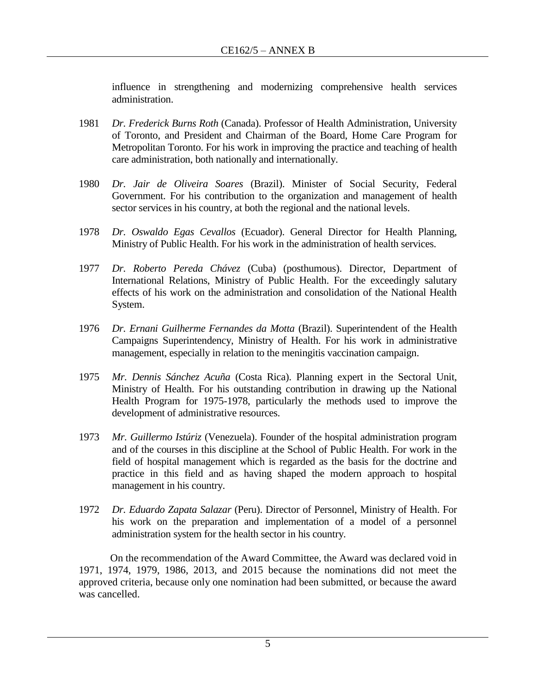influence in strengthening and modernizing comprehensive health services administration.

- 1981 *Dr. Frederick Burns Roth* (Canada). Professor of Health Administration, University of Toronto, and President and Chairman of the Board, Home Care Program for Metropolitan Toronto. For his work in improving the practice and teaching of health care administration, both nationally and internationally.
- 1980 *Dr. Jair de Oliveira Soares* (Brazil). Minister of Social Security, Federal Government. For his contribution to the organization and management of health sector services in his country, at both the regional and the national levels.
- 1978 *Dr. Oswaldo Egas Cevallos* (Ecuador). General Director for Health Planning, Ministry of Public Health. For his work in the administration of health services.
- 1977 *Dr. Roberto Pereda Chávez* (Cuba) (posthumous). Director, Department of International Relations, Ministry of Public Health. For the exceedingly salutary effects of his work on the administration and consolidation of the National Health System.
- 1976 *Dr. Ernani Guilherme Fernandes da Motta* (Brazil). Superintendent of the Health Campaigns Superintendency, Ministry of Health. For his work in administrative management, especially in relation to the meningitis vaccination campaign.
- 1975 *Mr. Dennis Sánchez Acuña* (Costa Rica). Planning expert in the Sectoral Unit, Ministry of Health. For his outstanding contribution in drawing up the National Health Program for 1975-1978, particularly the methods used to improve the development of administrative resources.
- 1973 *Mr. Guillermo Istúriz* (Venezuela). Founder of the hospital administration program and of the courses in this discipline at the School of Public Health. For work in the field of hospital management which is regarded as the basis for the doctrine and practice in this field and as having shaped the modern approach to hospital management in his country.
- 1972 *Dr. Eduardo Zapata Salazar* (Peru). Director of Personnel, Ministry of Health. For his work on the preparation and implementation of a model of a personnel administration system for the health sector in his country.

On the recommendation of the Award Committee, the Award was declared void in 1971, 1974, 1979, 1986, 2013, and 2015 because the nominations did not meet the approved criteria, because only one nomination had been submitted, or because the award was cancelled.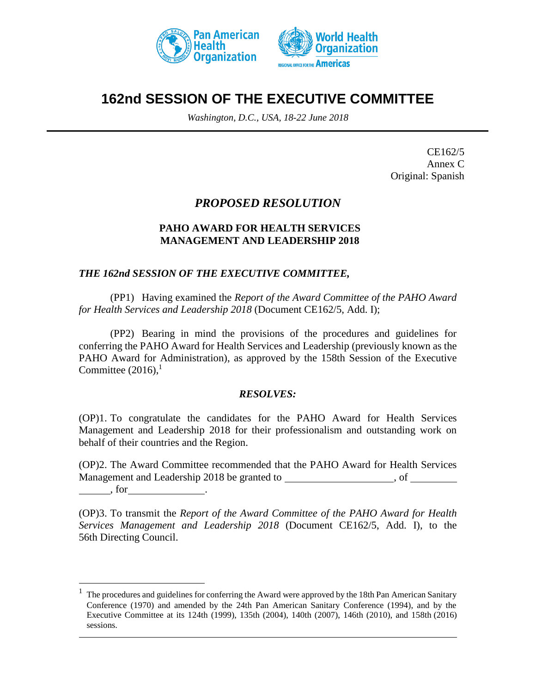



# **162nd SESSION OF THE EXECUTIVE COMMITTEE**

*Washington, D.C., USA, 18-22 June 2018*

CE162/5 Annex C Original: Spanish

# *PROPOSED RESOLUTION*

# **PAHO AWARD FOR HEALTH SERVICES MANAGEMENT AND LEADERSHIP 2018**

#### *THE 162nd SESSION OF THE EXECUTIVE COMMITTEE,*

(PP1) Having examined the *Report of the Award Committee of the PAHO Award for Health Services and Leadership 2018* (Document CE162/5, Add. I);

(PP2) Bearing in mind the provisions of the procedures and guidelines for conferring the PAHO Award for Health Services and Leadership (previously known as the PAHO Award for Administration), as approved by the 158th Session of the Executive Committee  $(2016)$ ,<sup>1</sup>

#### *RESOLVES:*

(OP)1. To congratulate the candidates for the PAHO Award for Health Services Management and Leadership 2018 for their professionalism and outstanding work on behalf of their countries and the Region.

(OP)2. The Award Committee recommended that the PAHO Award for Health Services Management and Leadership 2018 be granted to the contract of the state of  $\sim$ 

, for .

 $\overline{a}$ 

(OP)3. To transmit the *Report of the Award Committee of the PAHO Award for Health Services Management and Leadership 2018* (Document CE162/5, Add. I), to the 56th Directing Council.

<sup>1</sup> The procedures and guidelines for conferring the Award were approved by the 18th Pan American Sanitary Conference (1970) and amended by the 24th Pan American Sanitary Conference (1994), and by the Executive Committee at its 124th (1999), 135th (2004), 140th (2007), 146th (2010), and 158th (2016) sessions.